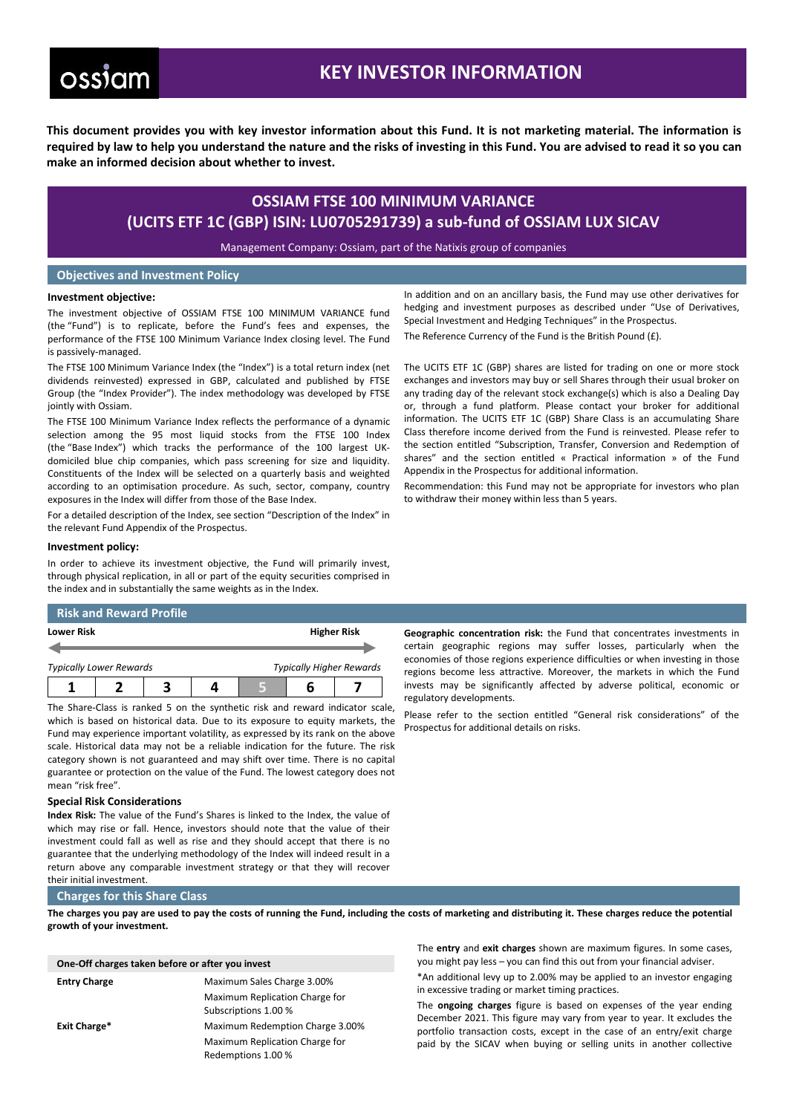# ossiam

# **KEY INVESTOR INFORMATION**

**This document provides you with key investor information about this Fund. It is not marketing material. The information is required by law to help you understand the nature and the risks of investing in this Fund. You are advised to read it so you can make an informed decision about whether to invest.**

# **OSSIAM FTSE 100 MINIMUM VARIANCE (UCITS ETF 1C (GBP) ISIN: LU0705291739) a sub-fund of OSSIAM LUX SICAV**

Management Company: Ossiam, part of the Natixis group of companies

# **Objectives and Investment Policy**

### **Investment objective:**

The investment objective of OSSIAM FTSE 100 MINIMUM VARIANCE fund (the "Fund") is to replicate, before the Fund's fees and expenses, the performance of the FTSE 100 Minimum Variance Index closing level. The Fund is passively-managed.

The FTSE 100 Minimum Variance Index (the "Index") is a total return index (net dividends reinvested) expressed in GBP, calculated and published by FTSE Group (the "Index Provider"). The index methodology was developed by FTSE jointly with Ossiam.

The FTSE 100 Minimum Variance Index reflects the performance of a dynamic selection among the 95 most liquid stocks from the FTSE 100 Index (the "Base Index") which tracks the performance of the 100 largest UKdomiciled blue chip companies, which pass screening for size and liquidity. Constituents of the Index will be selected on a quarterly basis and weighted according to an optimisation procedure. As such, sector, company, country exposures in the Index will differ from those of the Base Index.

For a detailed description of the Index, see section "Description of the Index" in the relevant Fund Appendix of the Prospectus.

### **Investment policy:**

In order to achieve its investment objective, the Fund will primarily invest, through physical replication, in all or part of the equity securities comprised in the index and in substantially the same weights as in the Index.

# **Risk and Reward Profile**

| Lower Risk                     |  | <b>Higher Risk</b>              |  |  |
|--------------------------------|--|---------------------------------|--|--|
| <b>Typically Lower Rewards</b> |  | <b>Typically Higher Rewards</b> |  |  |
|                                |  |                                 |  |  |

The Share-Class is ranked 5 on the synthetic risk and reward indicator scale, which is based on historical data. Due to its exposure to equity markets, the Fund may experience important volatility, as expressed by its rank on the above scale. Historical data may not be a reliable indication for the future. The risk category shown is not guaranteed and may shift over time. There is no capital guarantee or protection on the value of the Fund. The lowest category does not mean "risk free".

# **Special Risk Considerations**

**Index Risk:** The value of the Fund's Shares is linked to the Index, the value of which may rise or fall. Hence, investors should note that the value of their investment could fall as well as rise and they should accept that there is no guarantee that the underlying methodology of the Index will indeed result in a return above any comparable investment strategy or that they will recover their initial investment.

#### **Charges for this Share Class**

**The charges you pay are used to pay the costs of running the Fund, including the costs of marketing and distributing it. These charges reduce the potential growth of your investment.**

| One-Off charges taken before or after you invest |                                                        |  |  |  |  |
|--------------------------------------------------|--------------------------------------------------------|--|--|--|--|
| <b>Entry Charge</b>                              | Maximum Sales Charge 3.00%                             |  |  |  |  |
|                                                  | Maximum Replication Charge for<br>Subscriptions 1.00 % |  |  |  |  |
| Exit Charge*                                     | Maximum Redemption Charge 3.00%                        |  |  |  |  |
|                                                  | Maximum Replication Charge for<br>Redemptions 1.00 %   |  |  |  |  |

In addition and on an ancillary basis, the Fund may use other derivatives for hedging and investment purposes as described under "Use of Derivatives, Special Investment and Hedging Techniques" in the Prospectus. The Reference Currency of the Fund is the British Pound (£).

The UCITS ETF 1C (GBP) shares are listed for trading on one or more stock exchanges and investors may buy or sell Shares through their usual broker on any trading day of the relevant stock exchange(s) which is also a Dealing Day or, through a fund platform. Please contact your broker for additional information. The UCITS ETF 1C (GBP) Share Class is an accumulating Share Class therefore income derived from the Fund is reinvested. Please refer to the section entitled "Subscription, Transfer, Conversion and Redemption of shares" and the section entitled « Practical information » of the Fund Appendix in the Prospectus for additional information.

Recommendation: this Fund may not be appropriate for investors who plan to withdraw their money within less than 5 years.

**Geographic concentration risk:** the Fund that concentrates investments in certain geographic regions may suffer losses, particularly when the economies of those regions experience difficulties or when investing in those regions become less attractive. Moreover, the markets in which the Fund invests may be significantly affected by adverse political, economic or regulatory developments.

Please refer to the section entitled "General risk considerations" of the Prospectus for additional details on risks.

The **entry** and **exit charges** shown are maximum figures. In some cases, you might pay less – you can find this out from your financial adviser.

\*An additional levy up to 2.00% may be applied to an investor engaging in excessive trading or market timing practices.

The **ongoing charges** figure is based on expenses of the year ending December 2021. This figure may vary from year to year. It excludes the portfolio transaction costs, except in the case of an entry/exit charge paid by the SICAV when buying or selling units in another collective